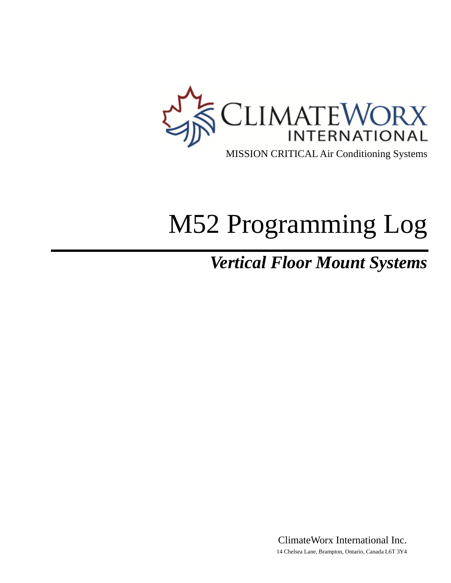

# M52 Programming Log

# *Vertical Floor Mount Systems*

ClimateWorx International Inc. 14 Chelsea Lane, Brampton, Ontario, Canada L6T 3Y4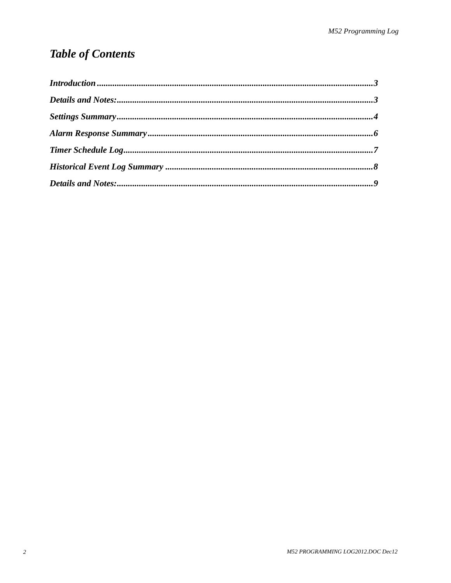# **Table of Contents**

| $\label{prop:1} Introduction\, 3$ |  |
|-----------------------------------|--|
|                                   |  |
|                                   |  |
|                                   |  |
|                                   |  |
|                                   |  |
|                                   |  |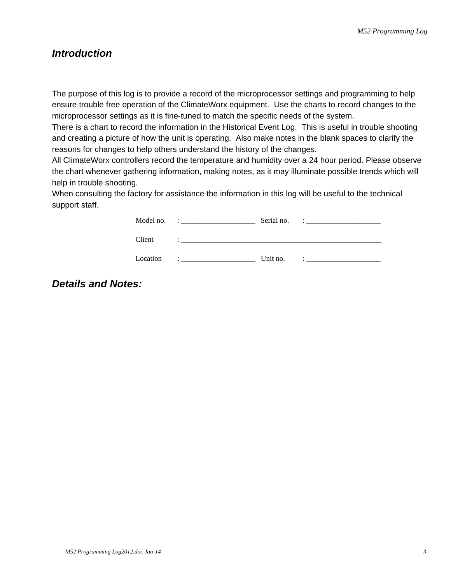#### <span id="page-2-0"></span>*Introduction*

The purpose of this log is to provide a record of the microprocessor settings and programming to help ensure trouble free operation of the ClimateWorx equipment. Use the charts to record changes to the microprocessor settings as it is fine-tuned to match the specific needs of the system.

There is a chart to record the information in the Historical Event Log. This is useful in trouble shooting and creating a picture of how the unit is operating. Also make notes in the blank spaces to clarify the reasons for changes to help others understand the history of the changes.

All ClimateWorx controllers record the temperature and humidity over a 24 hour period. Please observe the chart whenever gathering information, making notes, as it may illuminate possible trends which will help in trouble shooting.

When consulting the factory for assistance the information in this log will be useful to the technical support staff.

| Model no. | Serial no. |  |
|-----------|------------|--|
| Client    |            |  |
| Location  | Unit no.   |  |

#### *Details and Notes:*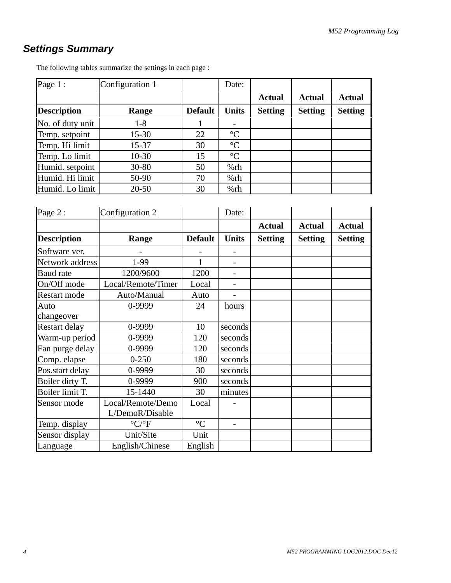## <span id="page-3-0"></span>*Settings Summary*

| Page 1:            | Configuration 1 |                | Date:           |                |                |                |
|--------------------|-----------------|----------------|-----------------|----------------|----------------|----------------|
|                    |                 |                |                 | <b>Actual</b>  | <b>Actual</b>  | <b>Actual</b>  |
| <b>Description</b> | Range           | <b>Default</b> | <b>Units</b>    | <b>Setting</b> | <b>Setting</b> | <b>Setting</b> |
| No. of duty unit   | $1 - 8$         |                |                 |                |                |                |
| Temp. setpoint     | $15 - 30$       | 22             | $\rm ^{\circ}C$ |                |                |                |
| Temp. Hi limit     | $15 - 37$       | 30             | $\rm ^{\circ}C$ |                |                |                |
| Temp. Lo limit     | $10-30$         | 15             | $\rm ^{\circ}C$ |                |                |                |
| Humid. setpoint    | $30 - 80$       | 50             | %rh             |                |                |                |
| Humid. Hi limit    | 50-90           | 70             | %rh             |                |                |                |
| Humid. Lo limit    | $20 - 50$       | 30             | %rh             |                |                |                |

The following tables summarize the settings in each page :

| Page 2:            | Configuration 2                      |                 | Date:                    |                |                |                |
|--------------------|--------------------------------------|-----------------|--------------------------|----------------|----------------|----------------|
|                    |                                      |                 |                          | <b>Actual</b>  | <b>Actual</b>  | <b>Actual</b>  |
| <b>Description</b> | Range                                | <b>Default</b>  | <b>Units</b>             | <b>Setting</b> | <b>Setting</b> | <b>Setting</b> |
| Software ver.      |                                      |                 |                          |                |                |                |
| Network address    | 1-99                                 | 1               |                          |                |                |                |
| Baud rate          | 1200/9600                            | 1200            |                          |                |                |                |
| On/Off mode        | Local/Remote/Timer                   | Local           | $\overline{\phantom{0}}$ |                |                |                |
| Restart mode       | Auto/Manual                          | Auto            |                          |                |                |                |
| Auto               | 0-9999                               | 24              | hours                    |                |                |                |
| changeover         |                                      |                 |                          |                |                |                |
| Restart delay      | 0-9999                               | 10              | seconds                  |                |                |                |
| Warm-up period     | 0-9999                               | 120             | seconds                  |                |                |                |
| Fan purge delay    | 0-9999                               | 120             | seconds                  |                |                |                |
| Comp. elapse       | $0 - 250$                            | 180             | seconds                  |                |                |                |
| Pos.start delay    | 0-9999                               | 30              | seconds                  |                |                |                |
| Boiler dirty T.    | 0-9999                               | 900             | seconds                  |                |                |                |
| Boiler limit T.    | 15-1440                              | 30              | minutes                  |                |                |                |
| Sensor mode        | Local/Remote/Demo<br>L/DemoR/Disable | Local           |                          |                |                |                |
| Temp. display      | $\rm ^{\circ} C/\rm ^{\circ} F$      | $\rm ^{\circ}C$ |                          |                |                |                |
| Sensor display     | Unit/Site                            | Unit            |                          |                |                |                |
| Language           | English/Chinese                      | English         |                          |                |                |                |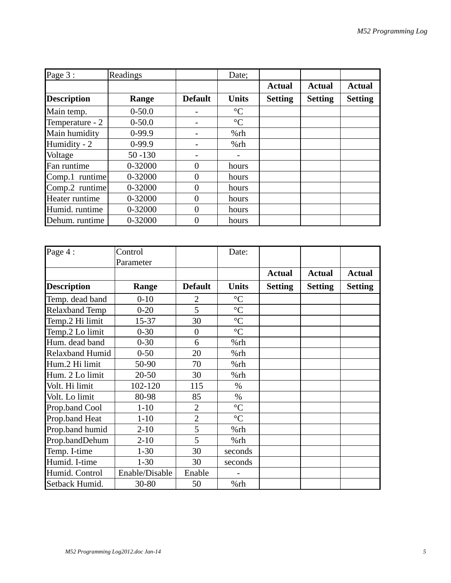| Page 3:            | Readings   |                | Date;           |                |                |                |
|--------------------|------------|----------------|-----------------|----------------|----------------|----------------|
|                    |            |                |                 | <b>Actual</b>  | <b>Actual</b>  | <b>Actual</b>  |
| <b>Description</b> | Range      | <b>Default</b> | <b>Units</b>    | <b>Setting</b> | <b>Setting</b> | <b>Setting</b> |
| Main temp.         | $0 - 50.0$ |                | $\rm ^{\circ}C$ |                |                |                |
| Temperature - 2    | $0 - 50.0$ |                | $\rm ^{\circ}C$ |                |                |                |
| Main humidity      | $0-99.9$   |                | $%$ rh          |                |                |                |
| Humidity - 2       | $0-99.9$   |                | %rh             |                |                |                |
| Voltage            | $50 - 130$ |                |                 |                |                |                |
| Fan runtime        | 0-32000    | $\Omega$       | hours           |                |                |                |
| Comp.1 runtime     | 0-32000    | 0              | hours           |                |                |                |
| Comp.2 runtime     | 0-32000    | $\Omega$       | hours           |                |                |                |
| Heater runtime     | 0-32000    | $\theta$       | hours           |                |                |                |
| Humid. runtime     | 0-32000    | $\Omega$       | hours           |                |                |                |
| Dehum. runtime     | 0-32000    | 0              | hours           |                |                |                |

| Page 4:                | Control        |                | Date:           |                |                |                |
|------------------------|----------------|----------------|-----------------|----------------|----------------|----------------|
|                        | Parameter      |                |                 |                |                |                |
|                        |                |                |                 | <b>Actual</b>  | <b>Actual</b>  | <b>Actual</b>  |
| <b>Description</b>     | Range          | <b>Default</b> | <b>Units</b>    | <b>Setting</b> | <b>Setting</b> | <b>Setting</b> |
| Temp. dead band        | $0 - 10$       | 2              | $\rm ^{\circ}C$ |                |                |                |
| <b>Relaxband Temp</b>  | $0 - 20$       | 5              | $\rm ^{\circ}C$ |                |                |                |
| Temp.2 Hi limit        | 15-37          | 30             | $\rm ^{\circ}C$ |                |                |                |
| Temp.2 Lo limit        | $0 - 30$       | $\overline{0}$ | $\rm ^{\circ}C$ |                |                |                |
| Hum. dead band         | $0 - 30$       | 6              | %rh             |                |                |                |
| <b>Relaxband Humid</b> | $0 - 50$       | 20             | %rh             |                |                |                |
| Hum.2 Hi limit         | 50-90          | 70             | %rh             |                |                |                |
| Hum. 2 Lo limit        | $20 - 50$      | 30             | %rh             |                |                |                |
| Volt. Hi limit         | 102-120        | 115            | $\%$            |                |                |                |
| Volt. Lo limit         | 80-98          | 85             | $\%$            |                |                |                |
| Prop.band Cool         | $1 - 10$       | $\overline{2}$ | $\rm ^{\circ}C$ |                |                |                |
| Prop.band Heat         | $1 - 10$       | $\overline{2}$ | $\rm ^{\circ}C$ |                |                |                |
| Prop.band humid        | $2 - 10$       | 5              | %rh             |                |                |                |
| Prop.bandDehum         | $2 - 10$       | 5              | %rh             |                |                |                |
| Temp. I-time           | $1 - 30$       | 30             | seconds         |                |                |                |
| Humid. I-time          | $1 - 30$       | 30             | seconds         |                |                |                |
| Humid. Control         | Enable/Disable | Enable         |                 |                |                |                |
| Setback Humid.         | 30-80          | 50             | %rh             |                |                |                |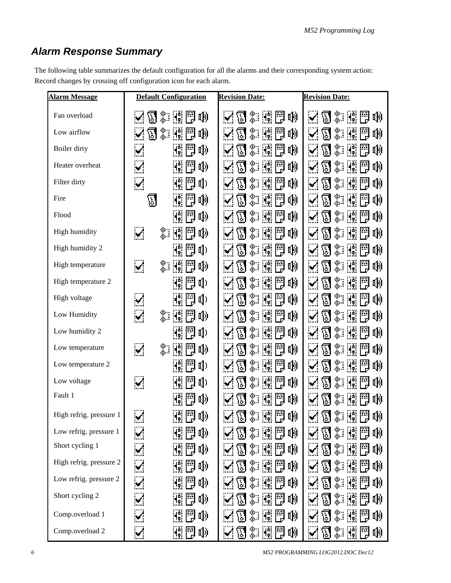### <span id="page-5-0"></span>*Alarm Response Summary*

The following table summarizes the default configuration for all the alarms and their corresponding system action: Record changes by crossing off configuration icon for each alarm.

| <b>Alarm Message</b>    | <b>Default Configuration</b>             | <b>Revision Date:</b>                                                                                          | <b>Revision Date:</b>                                                              |
|-------------------------|------------------------------------------|----------------------------------------------------------------------------------------------------------------|------------------------------------------------------------------------------------|
| Fan overload            | T * # 3<br>τ                             | <b>d</b> : 11<br>啲<br>$\checkmark$                                                                             | 图象雕<br>閇<br>LŅ)<br>$\mathcal{L}^{\mathcal{L}}$                                     |
| Low airflow             | ့<br>吶<br>囚<br>Иņ,                       | ့<br>鬥<br>吶<br>$A_{\rm p}^{\rm e}$<br>囚                                                                        | ့<br>咖<br>囚<br>$\mathcal{A}_{\mathbf{p}}^{\mathbf{a}}$<br>閇                        |
| Boiler dirty            | <b>叫</b> 》<br>뚸                          | ့<br>뚸<br>呦<br>$A_{\rm p}^{\rm e}$<br>囚                                                                        | ့<br>$\mathcal{A}^{\mathsf{b}}_{\mathsf{p}}$<br>Ħ<br>呦<br>$\nabla$<br>$\checkmark$ |
| Heater overheat         | 剛<br><b>叫</b> 》                          | ⊛∵<br>ô<br>開<br>吣<br>M.<br>प्त                                                                                 | ▒<br>$\mathbf{I}_{\mathbf{p}}^{\mathbf{a}}$<br>F<br>τŴ<br>М                        |
| Filter dirty            | 同<br><b>d</b><br>$\blacktriangledown$    | ⊗∷<br>뚸<br>吣<br>М,<br>$\mathbb{E}% _{\mathcal{M}_{0}}\left[ \mathcal{M}_{0}\right] ^{\ast }$                   | ≪∷<br>Ժ<br>FE<br>$A_{\rm e}$<br>ЦŅ<br>${\bf E}$                                    |
| Fire                    | II)<br>띠                                 | ⊗∷<br>ES.<br>To<br>H.<br>吣<br>$\nabla$                                                                         | -©<br>-©<br>$A_{\bullet}^{\bullet}$<br>咖<br>$\nabla$                               |
| Flood                   | 뚸<br>唧                                   | ఘ.<br>$A_{\rm p}^{\rm e}$<br>뚸<br>τŴ<br>$\mathbb{E}% _{\mathcal{M}_{0}}\left[ \mathcal{M}_{0}\right] ^{\ast }$ | ့<br>$\mathcal{A}^{\mathsf{b}}_{\mathsf{p}}$<br>E<br>吣<br>М                        |
| High humidity           | $\mathcal{S}$<br>့<br>聽問<br><b>[1]</b>   | - 90€<br>- 40<br>N: D<br>吶<br>區                                                                                | ့<br>Иņ.<br>E<br>吣<br>囚                                                            |
| High humidity 2         | 뚸<br>ŋ)                                  | - 90€<br>- 40<br>體問<br>吶<br>囚                                                                                  | _⊛∷<br>閇<br>响<br>囚<br>$\mathcal{A}_{\mathbf{p}}^{\mathbf{a}}$ .<br>$\cdot$ .       |
| High temperature        | ⊗∵<br>⊕<br>쁹<br>Иĵ.<br>酌<br>$\mathbf{v}$ | ⊗∵<br>⊕<br>閇<br>Цij<br>$A_{\rm p}^{\rm e}$<br>ᇚ                                                                | $\frac{\Phi}{\Phi}$ , $\frac{\Phi}{\Phi}$<br>М<br>响<br>鬥                           |
| High temperature 2      | 閇<br>II)                                 | ▒<br>Ħ<br>Цŋ<br>Иĵ.<br>囚                                                                                       | ▒<br>$A_{\rm p}^{\rm o}$<br>閇<br>响<br>囚                                            |
| High voltage            | <b>d</b><br>$\mathbf{v}$<br>Ę            | 鴻問<br>τŴ<br>့<br>囚                                                                                             | 呦<br>Иŗ.<br>鬥<br>့<br>${\bf E}$                                                    |
| Low Humidity            | _⊛<br>⊕<br>И.<br>FJ<br>動<br>$\mathbf{M}$ | Ħ<br>▒<br>Иĵ.<br>啲<br>М                                                                                        | 8.<br>閇<br>IŅ)<br>۰Ć,<br>М                                                         |
| Low humidity 2          | [1]                                      | ⊗<br>⊛<br>۹¢.<br>啲<br>囚                                                                                        | IŅ)<br>Г.)<br>10                                                                   |
| Low temperature         | $\mathbf{v}$<br>⊗∵<br>⊕<br>閇<br>И.<br>卟  | ့<br>$\mathbf{I}_{\mathbf{p}}^{\mathbf{b}}$<br>Ħ<br>啲<br>M                                                     | X.<br>IŅ)<br>囚                                                                     |
| Low temperature 2       | II)<br>鬥<br>H.                           | - \$<br>-\$⊶<br>鴻問<br>τŴ<br>ח                                                                                  | - ?⊱<br>- \$<br>Мģ.<br>閇<br>呦<br>囚                                                 |
| Low voltage             | 閇<br>$\mathbf{q}$<br>$\mathbf{M}$        | -‰<br>-©<br>閇<br>Иņ.<br>τ<br>囚                                                                                 | -‰<br>-©<br>闁<br>$\mathbf{H}_{\mathbf{p}}^{\mathbf{b}}$<br>响<br>囚                  |
| Fault 1                 | Ħ<br><b>叫</b> 》<br>H.                    | ▒<br>$\mathcal{A}_{\mathbf{r}}$<br>問<br>吶<br>囚                                                                 | -\$⊱∵<br>-\$⊳<br>Иņ.<br>閇<br>啲<br>$\rm{E}$                                         |
| High refrig. pressure 1 | $\mathcal{L}$<br>H. F<br>咖               | ◈▒問<br>叫)<br>$\mathbf{v}^{\prime}$<br>囚                                                                        | 《清理》<br>闁<br>$\sim$ M<br>II)                                                       |
| Low refrig. pressure 1  | [EE]<br><b>叫》</b>                        | - 100€<br>- 100€<br>體體<br>吶                                                                                    | -≫.∵<br>⊰ò<br>IŅ)<br>प्त                                                           |
| Short cycling 1         | 囎閇<br>動                                  | $\frac{\textcircled{\textit{x}}}{\textcircled{\textit{x}}}$ in Fig.<br>啲<br>囚                                  | 《清理<br>囚<br>F<br>τψ                                                                |
| High refrig. pressure 2 | Ħ<br>吵                                   | $\frac{\infty}{\infty}$ : $ \frac{\infty}{\mathbf{r}} $<br>Ę<br>吶<br>${\bf \Xi}$                               | -®<br>-ô<br>Цŷ<br>冏<br>۰Ç.                                                         |
| Low refrig. pressure 2  | 吵                                        | ▒<br>吶<br>प्त                                                                                                  | ့<br>τŴ<br>冏                                                                       |
| Short cycling 2         | 뚸<br><b>叫》</b>                           | ⊗∷<br>⊕<br>뜪<br>吶<br>ा                                                                                         | ့.<br>呦<br>$\mathbb{E}$                                                            |
| Comp.overload 1         | 吵<br>뚸                                   | 門<br>LŊ)<br>w.<br>≪<br>$A_{\rm p}^{\rm o}$<br>$\mathbb{E}% _{t}$                                               | 呦<br>w.<br>⊕<br>हा                                                                 |
| Comp.overload 2         | τ<br>HŞ.<br>띉                            | $\frac{\diamond}{\diamond}$ is<br>ات<br>ا<br>τψ<br>$\boxtimes$                                                 | 8 * K<br>τψ<br>$\mathbf{v}^{\prime}$                                               |

*6 M52 PROGRAMMING LOG2012.DOC Dec12*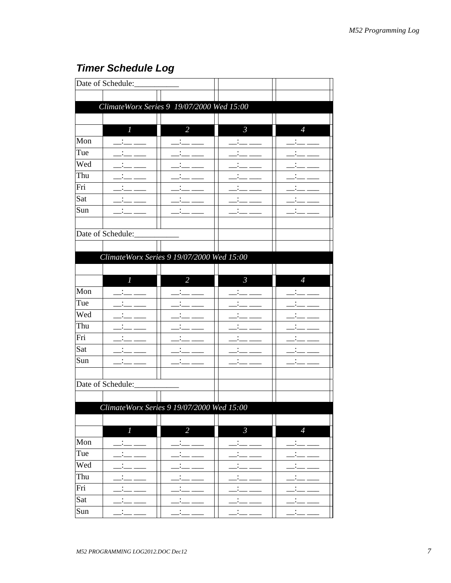## <span id="page-6-0"></span>**Timer Schedule Log**

|     | Date of Schedule:                               |                      |                      |                      |
|-----|-------------------------------------------------|----------------------|----------------------|----------------------|
|     |                                                 |                      |                      |                      |
|     | ClimateWorx Series 9 19/07/2000 Wed 15:00       |                      |                      |                      |
|     |                                                 |                      |                      |                      |
|     | $\mathbf{I}$                                    | $\overline{2}$       | $\mathcal{S}$        | $\overline{4}$       |
| Mon |                                                 |                      |                      |                      |
| Tue |                                                 |                      |                      |                      |
| Wed |                                                 |                      |                      |                      |
| Thu |                                                 |                      |                      |                      |
| Fri |                                                 |                      |                      |                      |
| Sat |                                                 |                      |                      |                      |
| Sun |                                                 |                      |                      |                      |
|     |                                                 |                      |                      |                      |
|     | Date of Schedule:                               |                      |                      |                      |
|     |                                                 |                      |                      |                      |
|     | ClimateWorx Series 9 19/07/2000 Wed 15:00       |                      |                      |                      |
|     |                                                 |                      |                      |                      |
|     | $\mathcal{I}$                                   | $\overline{2}$       | $\mathcal{S}$        | $\overline{4}$       |
| Mon |                                                 |                      |                      |                      |
| Tue |                                                 |                      |                      |                      |
| Wed |                                                 |                      |                      |                      |
| Thu |                                                 |                      |                      |                      |
| Fri |                                                 |                      |                      |                      |
| Sat |                                                 |                      |                      |                      |
| Sun |                                                 |                      |                      |                      |
|     |                                                 |                      |                      |                      |
|     | Date of Schedule:                               |                      |                      |                      |
|     |                                                 |                      |                      |                      |
|     | $ClimateW or x Series 9 19/07/2000$ Wed $15:00$ |                      |                      |                      |
|     |                                                 |                      |                      |                      |
|     | $\overline{l}$                                  | $\overline{2}$       | $\mathfrak{Z}$       | $\overline{4}$       |
| Mon |                                                 |                      |                      |                      |
| Tue |                                                 | $\bullet$            | $\ddot{\phantom{0}}$ |                      |
| Wed |                                                 |                      |                      |                      |
| Thu |                                                 |                      |                      | $\ddot{\phantom{0}}$ |
| Fri | $\ddot{\phantom{0}}$                            | $\ddot{\phantom{0}}$ |                      |                      |
| Sat |                                                 |                      |                      |                      |
| Sun | $\ddot{\phantom{0}}$                            | $\ddot{\phantom{0}}$ | $\ddot{\phantom{0}}$ | $\bullet$            |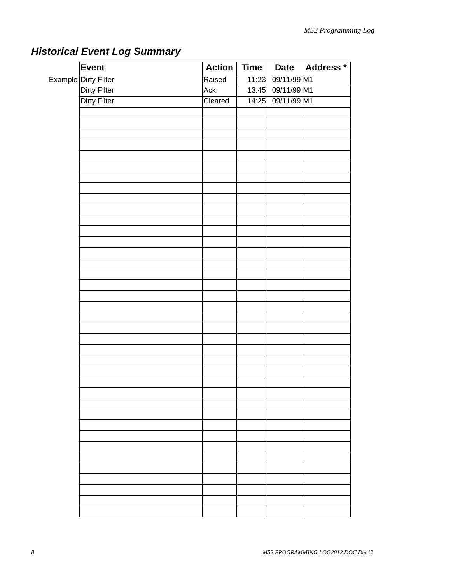|  | Event                | <b>Action</b> | <b>Time</b> | <b>Date</b>       | Address * |
|--|----------------------|---------------|-------------|-------------------|-----------|
|  | Example Dirty Filter | Raised        |             | 11:23 09/11/99 M1 |           |
|  | Dirty Filter         | Ack.          |             | 13:45 09/11/99 M1 |           |
|  | <b>Dirty Filter</b>  | Cleared       | 14:25       | 09/11/99 M1       |           |
|  |                      |               |             |                   |           |
|  |                      |               |             |                   |           |
|  |                      |               |             |                   |           |
|  |                      |               |             |                   |           |
|  |                      |               |             |                   |           |
|  |                      |               |             |                   |           |
|  |                      |               |             |                   |           |
|  |                      |               |             |                   |           |
|  |                      |               |             |                   |           |
|  |                      |               |             |                   |           |
|  |                      |               |             |                   |           |
|  |                      |               |             |                   |           |
|  |                      |               |             |                   |           |
|  |                      |               |             |                   |           |
|  |                      |               |             |                   |           |
|  |                      |               |             |                   |           |
|  |                      |               |             |                   |           |
|  |                      |               |             |                   |           |
|  |                      |               |             |                   |           |
|  |                      |               |             |                   |           |
|  |                      |               |             |                   |           |
|  |                      |               |             |                   |           |
|  |                      |               |             |                   |           |

# <span id="page-7-0"></span>*Historical Event Log Summary*